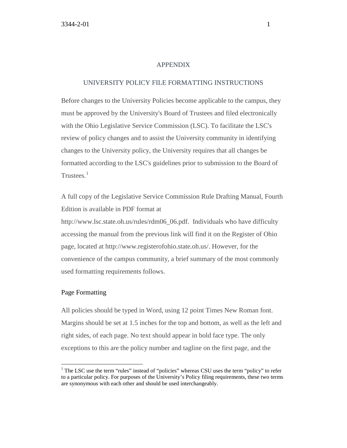#### APPENDIX

## UNIVERSITY POLICY FILE FORMATTING INSTRUCTIONS

Before changes to the University Policies become applicable to the campus, they must be approved by the University's Board of Trustees and filed electronically with the Ohio Legislative Service Commission (LSC). To facilitate the LSC's review of policy changes and to assist the University community in identifying changes to the University policy, the University requires that all changes be formatted according to the LSC's guidelines prior to submission to the Board of Trustees. $1$ 

A full copy of the Legislative Service Commission Rule Drafting Manual, Fourth Edition is available in PDF format at

http://www.lsc.state.oh.us/rules/rdm06\_06.pdf. Individuals who have difficulty accessing the manual from the previous link will find it on the Register of Ohio page, located at http://www.registerofohio.state.oh.us/. However, for the convenience of the campus community, a brief summary of the most commonly used formatting requirements follows.

## Page Formatting

 $\overline{a}$ 

All policies should be typed in Word, using 12 point Times New Roman font. Margins should be set at 1.5 inches for the top and bottom, as well as the left and right sides, of each page. No text should appear in bold face type. The only exceptions to this are the policy number and tagline on the first page, and the

<span id="page-0-0"></span><sup>&</sup>lt;sup>1</sup> The LSC use the term "rules" instead of "policies" whereas CSU uses the term "policy" to refer to a particular policy. For purposes of the University's Policy filing requirements, these two terms are synonymous with each other and should be used interchangeably.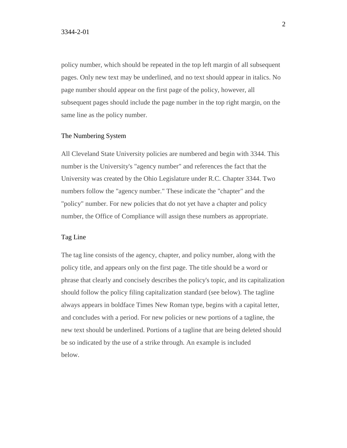policy number, which should be repeated in the top left margin of all subsequent pages. Only new text may be underlined, and no text should appear in italics. No page number should appear on the first page of the policy, however, all subsequent pages should include the page number in the top right margin, on the same line as the policy number.

#### The Numbering System

All Cleveland State University policies are numbered and begin with 3344. This number is the University's "agency number" and references the fact that the University was created by the Ohio Legislature under R.C. Chapter 3344. Two numbers follow the "agency number." These indicate the "chapter" and the "policy" number. For new policies that do not yet have a chapter and policy number, the Office of Compliance will assign these numbers as appropriate.

## Tag Line

The tag line consists of the agency, chapter, and policy number, along with the policy title, and appears only on the first page. The title should be a word or phrase that clearly and concisely describes the policy's topic, and its capitalization should follow the policy filing capitalization standard (see below). The tagline always appears in boldface Times New Roman type, begins with a capital letter, and concludes with a period. For new policies or new portions of a tagline, the new text should be underlined. Portions of a tagline that are being deleted should be so indicated by the use of a strike through. An example is included below.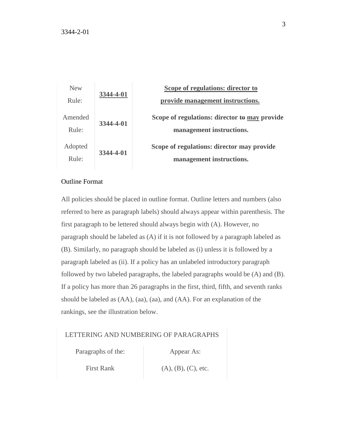

# Outline Format

All policies should be placed in outline format. Outline letters and numbers (also referred to here as paragraph labels) should always appear within parenthesis. The first paragraph to be lettered should always begin with (A). However, no paragraph should be labeled as (A) if it is not followed by a paragraph labeled as (B). Similarly, no paragraph should be labeled as (i) unless it is followed by a paragraph labeled as (ii). If a policy has an unlabeled introductory paragraph followed by two labeled paragraphs, the labeled paragraphs would be (A) and (B). If a policy has more than 26 paragraphs in the first, third, fifth, and seventh ranks should be labeled as (AA), (aa), (aa), and (AA). For an explanation of the rankings, see the illustration below.

#### LETTERING AND NUMBERING OF PARAGRAPHS

Paragraphs of the: Appear As:

First Rank (A), (B), (C), etc.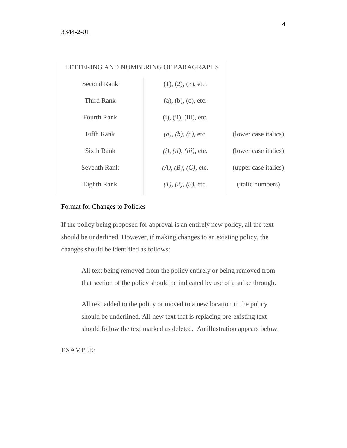# LETTERING AND NUMBERING OF PARAGRAPHS

| Second Rank         | $(1), (2), (3),$ etc.           |                          |
|---------------------|---------------------------------|--------------------------|
| Third Rank          | (a), (b), (c), etc.             |                          |
| <b>Fourth Rank</b>  | (i), (ii), (iii), etc.          |                          |
| Fifth Rank          | $(a)$ , $(b)$ , $(c)$ , etc.    | (lower case italics)     |
| Sixth Rank          | $(i)$ , $(ii)$ , $(iii)$ , etc. | (lower case italics)     |
| <b>Seventh Rank</b> | $(A), (B), (C),$ etc.           | (upper case italics)     |
| Eighth Rank         | $(1), (2), (3),$ etc.           | ( <i>italic</i> numbers) |

# Format for Changes to Policies

If the policy being proposed for approval is an entirely new policy, all the text should be underlined. However, if making changes to an existing policy, the changes should be identified as follows:

All text being removed from the policy entirely or being removed from that section of the policy should be indicated by use of a strike through.

All text added to the policy or moved to a new location in the policy should be underlined. All new text that is replacing pre-existing text should follow the text marked as deleted. An illustration appears below.

EXAMPLE: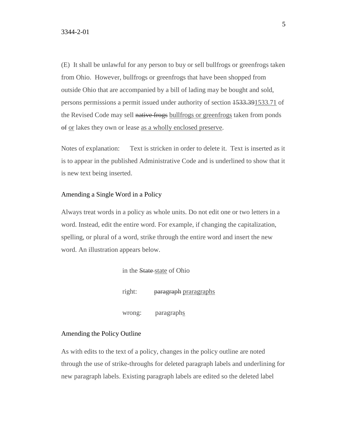(E) It shall be unlawful for any person to buy or sell bullfrogs or greenfrogs taken from Ohio. However, bullfrogs or greenfrogs that have been shopped from outside Ohio that are accompanied by a bill of lading may be bought and sold, persons permissions a permit issued under authority of section 1533.391533.71 of the Revised Code may sell native frogs bullfrogs or greenfrogs taken from ponds of or lakes they own or lease as a wholly enclosed preserve.

Notes of explanation: Text is stricken in order to delete it. Text is inserted as it is to appear in the published Administrative Code and is underlined to show that it is new text being inserted.

## Amending a Single Word in a Policy

Always treat words in a policy as whole units. Do not edit one or two letters in a word. Instead, edit the entire word. For example, if changing the capitalization, spelling, or plural of a word, strike through the entire word and insert the new word. An illustration appears below.

> in the State state of Ohio right: paragraph praragraphs wrong: paragraphs

# Amending the Policy Outline

As with edits to the text of a policy, changes in the policy outline are noted through the use of strike-throughs for deleted paragraph labels and underlining for new paragraph labels. Existing paragraph labels are edited so the deleted label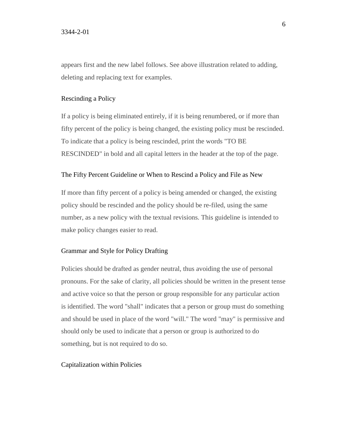appears first and the new label follows. See above illustration related to adding, deleting and replacing text for examples.

# Rescinding a Policy

If a policy is being eliminated entirely, if it is being renumbered, or if more than fifty percent of the policy is being changed, the existing policy must be rescinded. To indicate that a policy is being rescinded, print the words "TO BE RESCINDED" in bold and all capital letters in the header at the top of the page.

### The Fifty Percent Guideline or When to Rescind a Policy and File as New

If more than fifty percent of a policy is being amended or changed, the existing policy should be rescinded and the policy should be re-filed, using the same number, as a new policy with the textual revisions. This guideline is intended to make policy changes easier to read.

#### Grammar and Style for Policy Drafting

Policies should be drafted as gender neutral, thus avoiding the use of personal pronouns. For the sake of clarity, all policies should be written in the present tense and active voice so that the person or group responsible for any particular action is identified. The word "shall" indicates that a person or group must do something and should be used in place of the word "will." The word "may" is permissive and should only be used to indicate that a person or group is authorized to do something, but is not required to do so.

#### Capitalization within Policies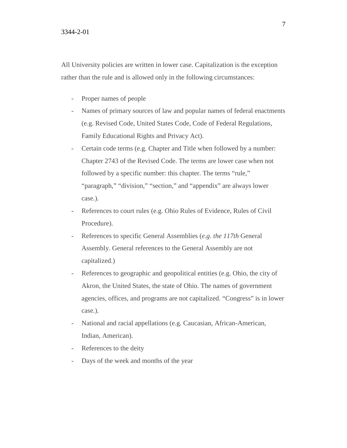All University policies are written in lower case. Capitalization is the exception rather than the rule and is allowed only in the following circumstances:

- Proper names of people
- Names of primary sources of law and popular names of federal enactments (e.g. Revised Code, United States Code, Code of Federal Regulations, Family Educational Rights and Privacy Act).
- Certain code terms (e.g. Chapter and Title when followed by a number: Chapter 2743 of the Revised Code. The terms are lower case when not followed by a specific number: this chapter. The terms "rule," "paragraph," "division," "section," and "appendix" are always lower case.).
- References to court rules (e.g. Ohio Rules of Evidence, Rules of Civil Procedure).
- References to specific General Assemblies (*e.g. the 117th* General Assembly. General references to the General Assembly are not capitalized.)
- References to geographic and geopolitical entities (e.g. Ohio, the city of Akron, the United States, the state of Ohio. The names of government agencies, offices, and programs are not capitalized. "Congress" is in lower case.).
- National and racial appellations (e.g. Caucasian, African-American, Indian, American).
- References to the deity
- Days of the week and months of the year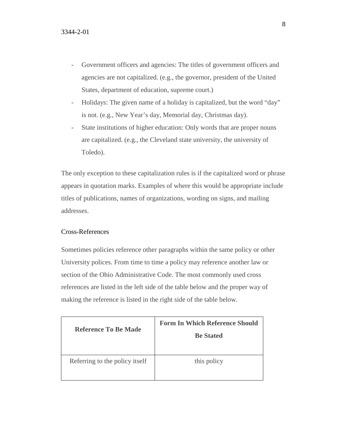- Government officers and agencies: The titles of government officers and agencies are not capitalized. (e.g., the governor, president of the United States, department of education, supreme court.)
- Holidays: The given name of a holiday is capitalized, but the word "day" is not. (e.g., New Year's day, Memorial day, Christmas day).
- State institutions of higher education: Only words that are proper nouns are capitalized. (e.g., the Cleveland state university, the university of Toledo).

The only exception to these capitalization rules is if the capitalized word or phrase appears in quotation marks. Examples of where this would be appropriate include titles of publications, names of organizations, wording on signs, and mailing addresses.

# Cross-References

Sometimes policies reference other paragraphs within the same policy or other University polices. From time to time a policy may reference another law or section of the Ohio Administrative Code. The most commonly used cross references are listed in the left side of the table below and the proper way of making the reference is listed in the right side of the table below.

| Reference To Be Made           | <b>Form In Which Reference Should</b><br><b>Be Stated</b> |
|--------------------------------|-----------------------------------------------------------|
| Referring to the policy itself | this policy                                               |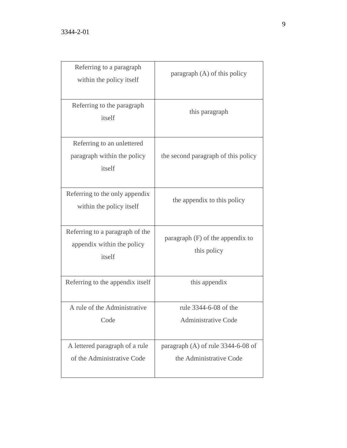| Referring to a paragraph<br>within the policy itself                    | paragraph (A) of this policy                                    |
|-------------------------------------------------------------------------|-----------------------------------------------------------------|
| Referring to the paragraph<br>itself                                    | this paragraph                                                  |
| Referring to an unlettered<br>paragraph within the policy<br>itself     | the second paragraph of this policy                             |
| Referring to the only appendix<br>within the policy itself              | the appendix to this policy                                     |
| Referring to a paragraph of the<br>appendix within the policy<br>itself | paragraph $(F)$ of the appendix to<br>this policy               |
| Referring to the appendix itself                                        | this appendix                                                   |
| A rule of the Administrative<br>Code                                    | rule 3344-6-08 of the<br><b>Administrative Code</b>             |
| A lettered paragraph of a rule<br>of the Administrative Code            | paragraph $(A)$ of rule 3344-6-08 of<br>the Administrative Code |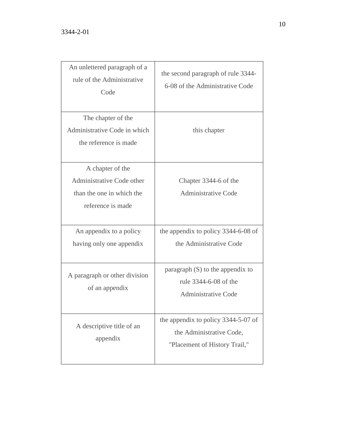| An unlettered paragraph of a<br>rule of the Administrative<br>Code                              | the second paragraph of rule 3344-<br>6-08 of the Administrative Code                            |
|-------------------------------------------------------------------------------------------------|--------------------------------------------------------------------------------------------------|
| The chapter of the<br>Administrative Code in which<br>the reference is made                     | this chapter                                                                                     |
| A chapter of the<br>Administrative Code other<br>than the one in which the<br>reference is made | Chapter 3344-6 of the<br><b>Administrative Code</b>                                              |
| An appendix to a policy<br>having only one appendix                                             | the appendix to policy 3344-6-08 of<br>the Administrative Code                                   |
| A paragraph or other division<br>of an appendix                                                 | paragraph $(S)$ to the appendix to<br>rule 3344-6-08 of the<br><b>Administrative Code</b>        |
| A descriptive title of an<br>appendix                                                           | the appendix to policy 3344-5-07 of<br>the Administrative Code,<br>"Placement of History Trail," |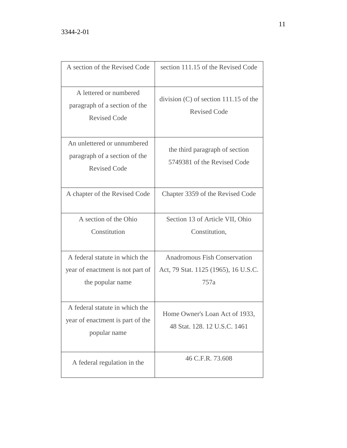| A section of the Revised Code                                                          | section 111.15 of the Revised Code                                                  |
|----------------------------------------------------------------------------------------|-------------------------------------------------------------------------------------|
| A lettered or numbered<br>paragraph of a section of the<br><b>Revised Code</b>         | division $(C)$ of section 111.15 of the<br><b>Revised Code</b>                      |
| An unlettered or unnumbered<br>paragraph of a section of the<br><b>Revised Code</b>    | the third paragraph of section<br>5749381 of the Revised Code                       |
| A chapter of the Revised Code                                                          | Chapter 3359 of the Revised Code                                                    |
| A section of the Ohio<br>Constitution                                                  | Section 13 of Article VII, Ohio<br>Constitution,                                    |
| A federal statute in which the<br>year of enactment is not part of<br>the popular name | <b>Anadromous Fish Conservation</b><br>Act, 79 Stat. 1125 (1965), 16 U.S.C.<br>757a |
| A federal statute in which the<br>year of enactment is part of the<br>popular name     | Home Owner's Loan Act of 1933,<br>48 Stat. 128. 12 U.S.C. 1461                      |
| A federal regulation in the                                                            | 46 C.F.R. 73.608                                                                    |